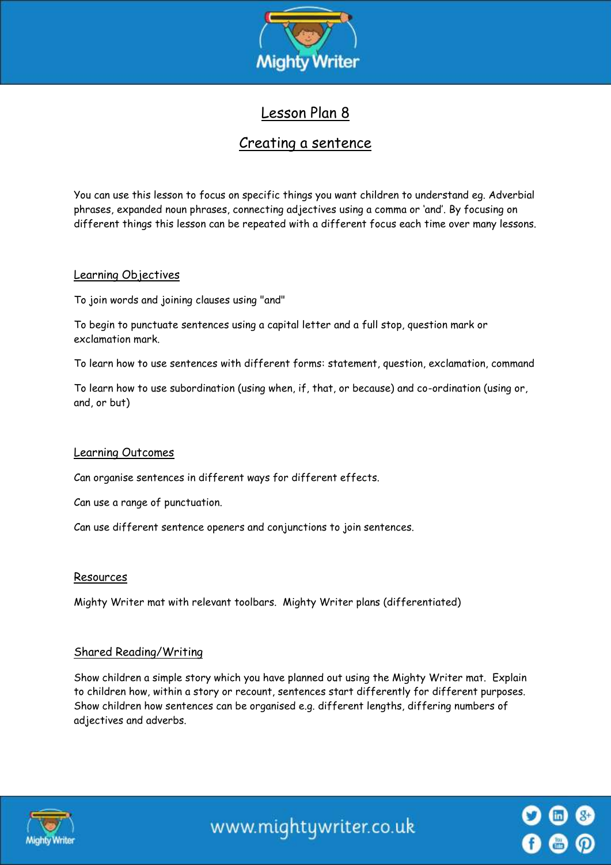

# Lesson Plan 8

## Creating a sentence

You can use this lesson to focus on specific things you want children to understand eg. Adverbial phrases, expanded noun phrases, connecting adjectives using a comma or 'and'. By focusing on different things this lesson can be repeated with a different focus each time over many lessons.

#### Learning Objectives

To join words and joining clauses using "and"

To begin to punctuate sentences using a capital letter and a full stop, question mark or exclamation mark.

To learn how to use sentences with different forms: statement, question, exclamation, command

To learn how to use subordination (using when, if, that, or because) and co-ordination (using or, and, or but)

## Learning Outcomes

Can organise sentences in different ways for different effects.

Can use a range of punctuation.

Can use different sentence openers and conjunctions to join sentences.

#### Resources

Mighty Writer mat with relevant toolbars. Mighty Writer plans (differentiated)

## Shared Reading/Writing

Show children a simple story which you have planned out using the Mighty Writer mat. Explain to children how, within a story or recount, sentences start differently for different purposes. Show children how sentences can be organised e.g. different lengths, differing numbers of adjectives and adverbs.



www.mightywriter.co.uk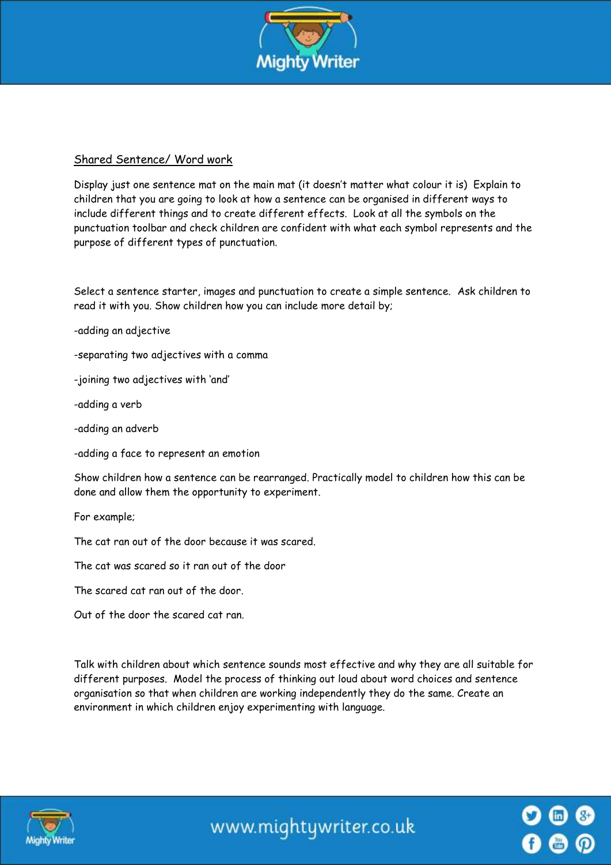

## Shared Sentence/ Word work

Display just one sentence mat on the main mat (it doesn't matter what colour it is) Explain to children that you are going to look at how a sentence can be organised in different ways to include different things and to create different effects. Look at all the symbols on the punctuation toolbar and check children are confident with what each symbol represents and the purpose of different types of punctuation.

Select a sentence starter, images and punctuation to create a simple sentence. Ask children to read it with you. Show children how you can include more detail by;

-adding an adjective

-separating two adjectives with a comma

-joining two adjectives with 'and'

-adding a verb

-adding an adverb

-adding a face to represent an emotion

Show children how a sentence can be rearranged. Practically model to children how this can be done and allow them the opportunity to experiment.

For example;

The cat ran out of the door because it was scared.

The cat was scared so it ran out of the door

The scared cat ran out of the door.

Out of the door the scared cat ran.

Talk with children about which sentence sounds most effective and why they are all suitable for different purposes. Model the process of thinking out loud about word choices and sentence organisation so that when children are working independently they do the same. Create an environment in which children enjoy experimenting with language.



www.mightywriter.co.uk